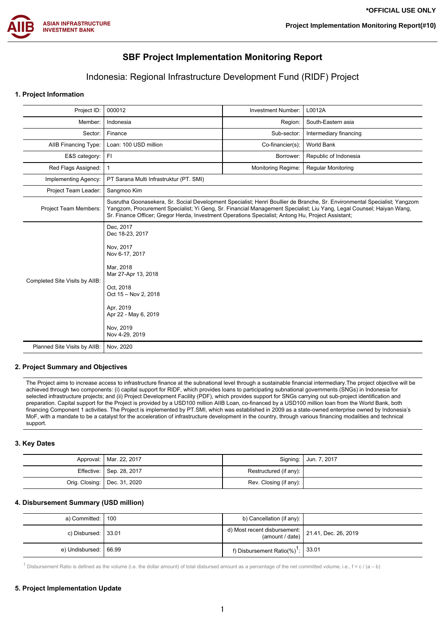

# **SBF Project Implementation Monitoring Report**

## Indonesia: Regional Infrastructure Development Fund (RIDF) Project

## **1. Project Information**

| Project ID:                    | 000012                                                                                                                                                                                                                                                                                                                                                  | Investment Number:        | L0012A                    |  |  |  |
|--------------------------------|---------------------------------------------------------------------------------------------------------------------------------------------------------------------------------------------------------------------------------------------------------------------------------------------------------------------------------------------------------|---------------------------|---------------------------|--|--|--|
| Member:                        | Indonesia                                                                                                                                                                                                                                                                                                                                               | Region:                   | South-Eastern asia        |  |  |  |
| Sector:                        | Finance                                                                                                                                                                                                                                                                                                                                                 | Sub-sector:               | Intermediary financing    |  |  |  |
| AIIB Financing Type:           | Loan: 100 USD million                                                                                                                                                                                                                                                                                                                                   | Co-financier(s):          | <b>World Bank</b>         |  |  |  |
| E&S category:                  | FI                                                                                                                                                                                                                                                                                                                                                      | Borrower:                 | Republic of Indonesia     |  |  |  |
| Red Flags Assigned:            |                                                                                                                                                                                                                                                                                                                                                         | <b>Monitoring Regime:</b> | <b>Regular Monitoring</b> |  |  |  |
| Implementing Agency:           | PT Sarana Multi Infrastruktur (PT. SMI)                                                                                                                                                                                                                                                                                                                 |                           |                           |  |  |  |
| Project Team Leader:           | Sangmoo Kim                                                                                                                                                                                                                                                                                                                                             |                           |                           |  |  |  |
| <b>Project Team Members:</b>   | Susrutha Goonasekera, Sr. Social Development Specialist; Henri Boullier de Branche, Sr. Environmental Specialist; Yangzom<br>Yangzom, Procurement Specialist; Yi Geng, Sr. Financial Management Specialist; Liu Yang, Legal Counsel; Haiyan Wang,<br>Sr. Finance Officer; Gregor Herda, Investment Operations Specialist; Antong Hu, Project Assistant; |                           |                           |  |  |  |
| Completed Site Visits by AIIB: | Dec, 2017<br>Dec 18-23, 2017<br>Nov. 2017<br>Nov 6-17, 2017<br>Mar, 2018<br>Mar 27-Apr 13, 2018<br>Oct, 2018<br>Oct 15 - Nov 2, 2018<br>Apr, 2019<br>Apr 22 - May 6, 2019<br>Nov. 2019<br>Nov 4-29, 2019                                                                                                                                                |                           |                           |  |  |  |
| Planned Site Visits by AIIB:   | Nov. 2020                                                                                                                                                                                                                                                                                                                                               |                           |                           |  |  |  |

#### **2. Project Summary and Objectives**

The Project aims to increase access to infrastructure finance at the subnational level through a sustainable financial intermediary.The project objective will be achieved through two components: (i) capital support for RIDF, which provides loans to participating subnational governments (SNGs) in Indonesia for selected infrastructure projects; and (ii) Project Development Facility (PDF), which provides support for SNGs carrying out sub-project identification and preparation. Capital support for the Project is provided by a USD100 million AIIB Loan, co-financed by a USD100 million loan from the World Bank, both financing Component 1 activities. The Project is implemented by PT.SMI, which was established in 2009 as a state-owned enterprise owned by Indonesia's MoF, with a mandate to be a catalyst for the acceleration of infrastructure development in the country, through various financing modalities and technical support.

### **3. Key Dates**

| Approval:   Mar. 22, 2017      |                        | Signing:   Jun. 7, 2017 |
|--------------------------------|------------------------|-------------------------|
| Effective:   Sep. 28, 2017     | Restructured (if any): |                         |
| Orig. Closing:   Dec. 31, 2020 | Rev. Closing (if any): |                         |

## **4. Disbursement Summary (USD million)**

| a) Committed:   100     | b) Cancellation (if any):                                                                  |  |
|-------------------------|--------------------------------------------------------------------------------------------|--|
| c) Disbursed: 1 33.01   | d) Most recent disbursement: $\begin{bmatrix} 21.41, \text{ Dec. } 26, 2019 \end{bmatrix}$ |  |
| e) Undisbursed:   66.99 | f) Disbursement Ratio $(\%)^1$ : $\mid 33.01$                                              |  |

1 Disbursement Ratio is defined as the volume (i.e. the dollar amount) of total disbursed amount as a percentage of the net committed volume, i.e.,  $f = c / (a - b)$ 

#### **5. Project Implementation Update**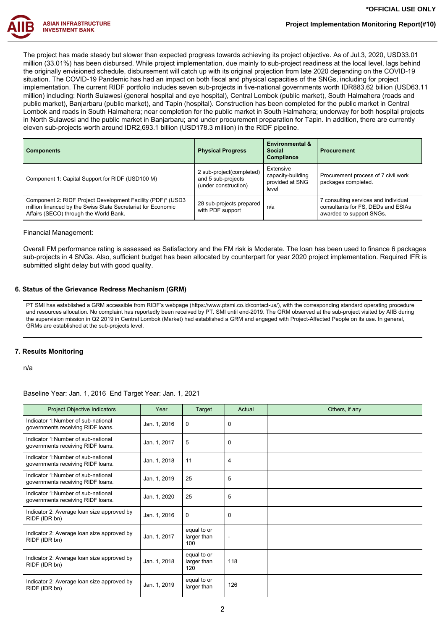

The project has made steady but slower than expected progress towards achieving its project objective. As of Jul.3, 2020, USD33.01 million (33.01%) has been disbursed. While project implementation, due mainly to sub-project readiness at the local level, lags behind the originally envisioned schedule, disbursement will catch up with its original projection from late 2020 depending on the COVID-19 situation. The COVID-19 Pandemic has had an impact on both fiscal and physical capacities of the SNGs, including for project implementation. The current RIDF portfolio includes seven sub-projects in five-national governments worth IDR883.62 billion (USD63.11 million) including: North Sulawesi (general hospital and eye hospital), Central Lombok (public market), South Halmahera (roads and public market), Banjarbaru (public market), and Tapin (hospital). Construction has been completed for the public market in Central Lombok and roads in South Halmahera; near completion for the public market in South Halmahera; underway for both hospital projects in North Sulawesi and the public market in Banjarbaru; and under procurement preparation for Tapin. In addition, there are currently eleven sub-projects worth around IDR2,693.1 billion (USD178.3 million) in the RIDF pipeline.

| <b>Components</b>                                                                                                                                                     | <b>Physical Progress</b>                                               | <b>Environmental &amp;</b><br><b>Social</b><br>Compliance  | <b>Procurement</b>                                                                                     |  |
|-----------------------------------------------------------------------------------------------------------------------------------------------------------------------|------------------------------------------------------------------------|------------------------------------------------------------|--------------------------------------------------------------------------------------------------------|--|
| Component 1: Capital Support for RIDF (USD100 M)                                                                                                                      | 2 sub-project(completed)<br>and 5 sub-projects<br>(under construction) | Extensive<br>capacity-building<br>provided at SNG<br>level | Procurement process of 7 civil work<br>packages completed.                                             |  |
| Component 2: RIDF Project Development Facility (PDF)* (USD3<br>million financed by the Swiss State Secretariat for Economic<br>Affairs (SECO) through the World Bank. | 28 sub-projects prepared<br>with PDF support                           | n/a                                                        | 7 consulting services and individual<br>consultants for FS, DEDs and ESIAs<br>awarded to support SNGs. |  |

#### Financial Management:

Overall FM performance rating is assessed as Satisfactory and the FM risk is Moderate. The loan has been used to finance 6 packages sub-projects in 4 SNGs. Also, sufficient budget has been allocated by counterpart for year 2020 project implementation. Required IFR is submitted slight delay but with good quality.

### **6. Status of the Grievance Redress Mechanism (GRM)**

PT SMI has established a GRM accessible from RIDF's webpage (https://www.ptsmi.co.id/contact-us/), with the corresponding standard operating procedure and resources allocation. No complaint has reportedly been received by PT. SMI until end-2019. The GRM observed at the sub-project visited by AIIB during the supervision mission in Q2 2019 in Central Lombok (Market) had established a GRM and engaged with Project-Affected People on its use. In general, GRMs are established at the sub-projects level.

## **7. Results Monitoring**

n/a

#### Baseline Year: Jan. 1, 2016 End Target Year: Jan. 1, 2021

| Project Objective Indicators                                            | Year         | Target                            | Actual | Others, if any |
|-------------------------------------------------------------------------|--------------|-----------------------------------|--------|----------------|
| Indicator 1:Number of sub-national<br>governments receiving RIDF loans. | Jan. 1, 2016 | 0                                 | 0      |                |
| Indicator 1:Number of sub-national<br>governments receiving RIDF loans. | Jan. 1, 2017 | 5                                 | 0      |                |
| Indicator 1:Number of sub-national<br>governments receiving RIDF loans. | Jan. 1, 2018 | 11                                | 4      |                |
| Indicator 1:Number of sub-national<br>governments receiving RIDF loans. | Jan. 1, 2019 | 25                                | 5      |                |
| Indicator 1:Number of sub-national<br>governments receiving RIDF loans. | Jan. 1, 2020 | 25                                | 5      |                |
| Indicator 2: Average loan size approved by<br>RIDF (IDR bn)             | Jan. 1, 2016 | 0                                 | 0      |                |
| Indicator 2: Average loan size approved by<br>RIDF (IDR bn)             | Jan. 1, 2017 | equal to or<br>larger than<br>100 | ۰      |                |
| Indicator 2: Average loan size approved by<br>RIDF (IDR bn)             | Jan. 1, 2018 | equal to or<br>larger than<br>120 | 118    |                |
| Indicator 2: Average loan size approved by<br>RIDF (IDR bn)             | Jan. 1, 2019 | equal to or<br>larger than        | 126    |                |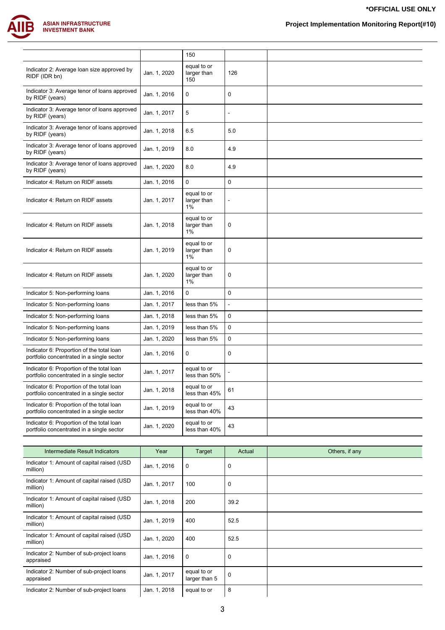

**Project Implementation Monitoring Report(#10)**

|                                                                                        |              | 150                               |             |  |
|----------------------------------------------------------------------------------------|--------------|-----------------------------------|-------------|--|
| Indicator 2: Average loan size approved by<br>RIDF (IDR bn)                            | Jan. 1, 2020 | equal to or<br>larger than<br>150 | 126         |  |
| Indicator 3: Average tenor of loans approved<br>by RIDF (years)                        | Jan. 1, 2016 | 0                                 | $\mathbf 0$ |  |
| Indicator 3: Average tenor of loans approved<br>by RIDF (years)                        | Jan. 1, 2017 | 5                                 |             |  |
| Indicator 3: Average tenor of loans approved<br>by RIDF (years)                        | Jan. 1, 2018 | 6.5                               | 5.0         |  |
| Indicator 3: Average tenor of loans approved<br>by RIDF (years)                        | Jan. 1, 2019 | 8.0                               | 4.9         |  |
| Indicator 3: Average tenor of loans approved<br>by RIDF (years)                        | Jan. 1, 2020 | 8.0                               | 4.9         |  |
| Indicator 4: Return on RIDF assets                                                     | Jan. 1, 2016 | 0                                 | 0           |  |
| Indicator 4: Return on RIDF assets                                                     | Jan. 1, 2017 | equal to or<br>larger than<br>1%  |             |  |
| Indicator 4: Return on RIDF assets                                                     | Jan. 1, 2018 | equal to or<br>larger than<br>1%  | $\mathbf 0$ |  |
| Indicator 4: Return on RIDF assets                                                     | Jan. 1, 2019 | equal to or<br>larger than<br>1%  | 0           |  |
| Indicator 4: Return on RIDF assets                                                     | Jan. 1, 2020 | equal to or<br>larger than<br>1%  | 0           |  |
| Indicator 5: Non-performing loans                                                      | Jan. 1, 2016 | 0                                 | $\mathbf 0$ |  |
| Indicator 5: Non-performing loans                                                      | Jan. 1, 2017 | less than 5%                      |             |  |
| Indicator 5: Non-performing loans                                                      | Jan. 1, 2018 | less than 5%                      | $\mathbf 0$ |  |
| Indicator 5: Non-performing loans                                                      | Jan. 1, 2019 | less than 5%                      | 0           |  |
| Indicator 5: Non-performing loans                                                      | Jan. 1, 2020 | less than 5%                      | 0           |  |
| Indicator 6: Proportion of the total loan<br>portfolio concentrated in a single sector | Jan. 1, 2016 | 0                                 | $\mathbf 0$ |  |
| Indicator 6: Proportion of the total loan<br>portfolio concentrated in a single sector | Jan. 1, 2017 | equal to or<br>less than 50%      |             |  |
| Indicator 6: Proportion of the total loan<br>portfolio concentrated in a single sector | Jan. 1, 2018 | equal to or<br>less than 45%      | 61          |  |
| Indicator 6: Proportion of the total loan<br>portfolio concentrated in a single sector | Jan. 1, 2019 | equal to or<br>less than 40%      | 43          |  |
| Indicator 6: Proportion of the total loan<br>portfolio concentrated in a single sector | Jan. 1, 2020 | equal to or<br>less than 40%      | 43          |  |

| Intermediate Result Indicators                          | Year         | Target                       | Actual      | Others, if any |
|---------------------------------------------------------|--------------|------------------------------|-------------|----------------|
| Indicator 1: Amount of capital raised (USD)<br>million) | Jan. 1, 2016 | 0                            | $\mathbf 0$ |                |
| Indicator 1: Amount of capital raised (USD)<br>million) | Jan. 1, 2017 | 100                          | $\mathbf 0$ |                |
| Indicator 1: Amount of capital raised (USD)<br>million) | Jan. 1, 2018 | 200                          | 39.2        |                |
| Indicator 1: Amount of capital raised (USD)<br>million) | Jan. 1, 2019 | 400                          | 52.5        |                |
| Indicator 1: Amount of capital raised (USD)<br>million) | Jan. 1, 2020 | 400                          | 52.5        |                |
| Indicator 2: Number of sub-project loans<br>appraised   | Jan. 1, 2016 | 0                            | $\mathbf 0$ |                |
| Indicator 2: Number of sub-project loans<br>appraised   | Jan. 1, 2017 | equal to or<br>larger than 5 | $\mathbf 0$ |                |
| Indicator 2: Number of sub-project loans                | Jan. 1, 2018 | equal to or                  | 8           |                |